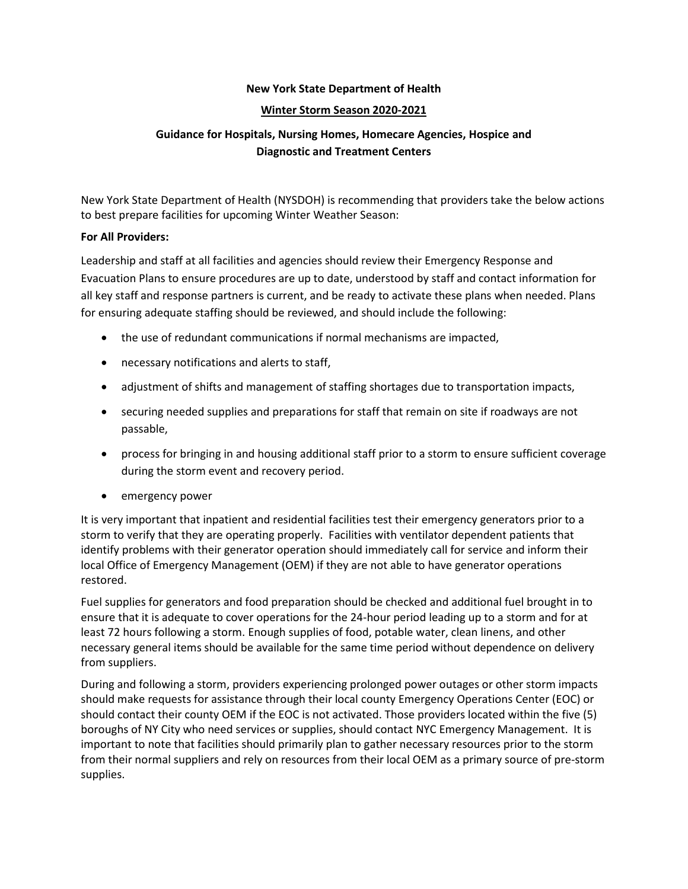## **New York State Department of Health**

#### **Winter Storm Season 2020-2021**

# **Guidance for Hospitals, Nursing Homes, Homecare Agencies, Hospice and Diagnostic and Treatment Centers**

New York State Department of Health (NYSDOH) is recommending that providers take the below actions to best prepare facilities for upcoming Winter Weather Season:

#### **For All Providers:**

Leadership and staff at all facilities and agencies should review their Emergency Response and Evacuation Plans to ensure procedures are up to date, understood by staff and contact information for all key staff and response partners is current, and be ready to activate these plans when needed. Plans for ensuring adequate staffing should be reviewed, and should include the following:

- the use of redundant communications if normal mechanisms are impacted,
- necessary notifications and alerts to staff,
- adjustment of shifts and management of staffing shortages due to transportation impacts,
- securing needed supplies and preparations for staff that remain on site if roadways are not passable,
- process for bringing in and housing additional staff prior to a storm to ensure sufficient coverage during the storm event and recovery period.
- emergency power

It is very important that inpatient and residential facilities test their emergency generators prior to a storm to verify that they are operating properly. Facilities with ventilator dependent patients that identify problems with their generator operation should immediately call for service and inform their local Office of Emergency Management (OEM) if they are not able to have generator operations restored.

Fuel supplies for generators and food preparation should be checked and additional fuel brought in to ensure that it is adequate to cover operations for the 24-hour period leading up to a storm and for at least 72 hours following a storm. Enough supplies of food, potable water, clean linens, and other necessary general items should be available for the same time period without dependence on delivery from suppliers.

During and following a storm, providers experiencing prolonged power outages or other storm impacts should make requests for assistance through their local county Emergency Operations Center (EOC) or should contact their county OEM if the EOC is not activated. Those providers located within the five (5) boroughs of NY City who need services or supplies, should contact NYC Emergency Management. It is important to note that facilities should primarily plan to gather necessary resources prior to the storm from their normal suppliers and rely on resources from their local OEM as a primary source of pre-storm supplies.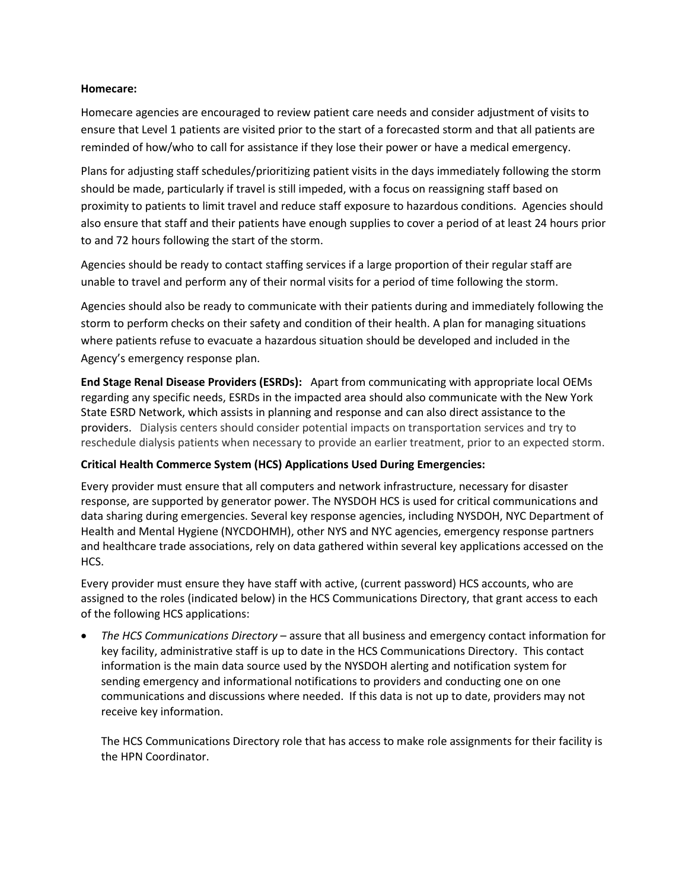## **Homecare:**

Homecare agencies are encouraged to review patient care needs and consider adjustment of visits to ensure that Level 1 patients are visited prior to the start of a forecasted storm and that all patients are reminded of how/who to call for assistance if they lose their power or have a medical emergency.

Plans for adjusting staff schedules/prioritizing patient visits in the days immediately following the storm should be made, particularly if travel is still impeded, with a focus on reassigning staff based on proximity to patients to limit travel and reduce staff exposure to hazardous conditions. Agencies should also ensure that staff and their patients have enough supplies to cover a period of at least 24 hours prior to and 72 hours following the start of the storm.

Agencies should be ready to contact staffing services if a large proportion of their regular staff are unable to travel and perform any of their normal visits for a period of time following the storm.

Agencies should also be ready to communicate with their patients during and immediately following the storm to perform checks on their safety and condition of their health. A plan for managing situations where patients refuse to evacuate a hazardous situation should be developed and included in the Agency's emergency response plan.

**End Stage Renal Disease Providers (ESRDs):** Apart from communicating with appropriate local OEMs regarding any specific needs, ESRDs in the impacted area should also communicate with the New York State ESRD Network, which assists in planning and response and can also direct assistance to the providers. Dialysis centers should consider potential impacts on transportation services and try to reschedule dialysis patients when necessary to provide an earlier treatment, prior to an expected storm.

## **Critical Health Commerce System (HCS) Applications Used During Emergencies:**

Every provider must ensure that all computers and network infrastructure, necessary for disaster response, are supported by generator power. The NYSDOH HCS is used for critical communications and data sharing during emergencies. Several key response agencies, including NYSDOH, NYC Department of Health and Mental Hygiene (NYCDOHMH), other NYS and NYC agencies, emergency response partners and healthcare trade associations, rely on data gathered within several key applications accessed on the HCS.

Every provider must ensure they have staff with active, (current password) HCS accounts, who are assigned to the roles (indicated below) in the HCS Communications Directory, that grant access to each of the following HCS applications:

• *The HCS Communications Directory* – assure that all business and emergency contact information for key facility, administrative staff is up to date in the HCS Communications Directory. This contact information is the main data source used by the NYSDOH alerting and notification system for sending emergency and informational notifications to providers and conducting one on one communications and discussions where needed. If this data is not up to date, providers may not receive key information.

The HCS Communications Directory role that has access to make role assignments for their facility is the HPN Coordinator.